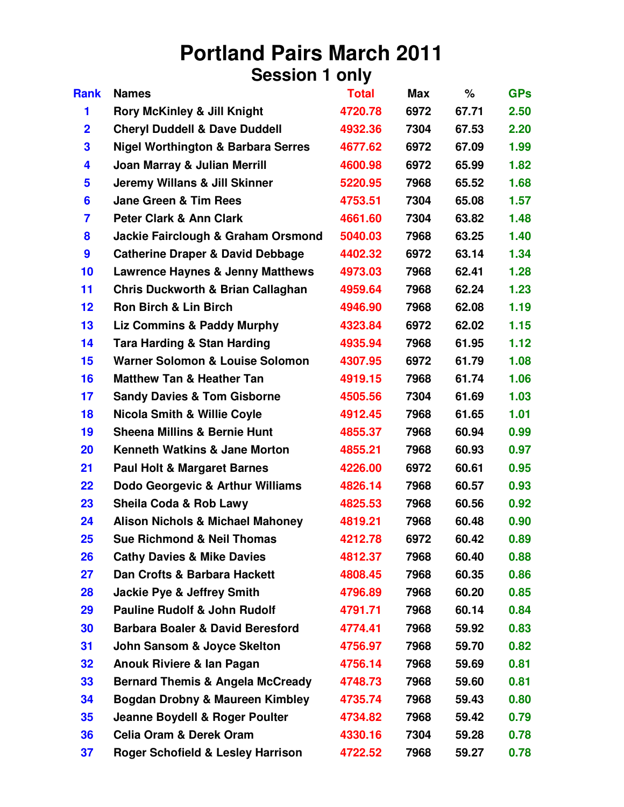## **Portland Pairs March 2011 Session 1 only**

| <b>Rank</b>             | <b>Names</b>                                  | <b>Total</b> | <b>Max</b> | %     | <b>GPs</b> |
|-------------------------|-----------------------------------------------|--------------|------------|-------|------------|
| 1                       | <b>Rory McKinley &amp; Jill Knight</b>        | 4720.78      | 6972       | 67.71 | 2.50       |
| $\overline{\mathbf{2}}$ | <b>Cheryl Duddell &amp; Dave Duddell</b>      | 4932.36      | 7304       | 67.53 | 2.20       |
| 3                       | <b>Nigel Worthington &amp; Barbara Serres</b> | 4677.62      | 6972       | 67.09 | 1.99       |
| 4                       | Joan Marray & Julian Merrill                  | 4600.98      | 6972       | 65.99 | 1.82       |
| 5                       | <b>Jeremy Willans &amp; Jill Skinner</b>      | 5220.95      | 7968       | 65.52 | 1.68       |
| 6                       | <b>Jane Green &amp; Tim Rees</b>              | 4753.51      | 7304       | 65.08 | 1.57       |
| 7                       | <b>Peter Clark &amp; Ann Clark</b>            | 4661.60      | 7304       | 63.82 | 1.48       |
| 8                       | Jackie Fairclough & Graham Orsmond            | 5040.03      | 7968       | 63.25 | 1.40       |
| 9                       | <b>Catherine Draper &amp; David Debbage</b>   | 4402.32      | 6972       | 63.14 | 1.34       |
| 10                      | <b>Lawrence Haynes &amp; Jenny Matthews</b>   | 4973.03      | 7968       | 62.41 | 1.28       |
| 11                      | <b>Chris Duckworth &amp; Brian Callaghan</b>  | 4959.64      | 7968       | 62.24 | 1.23       |
| 12                      | <b>Ron Birch &amp; Lin Birch</b>              | 4946.90      | 7968       | 62.08 | 1.19       |
| 13                      | <b>Liz Commins &amp; Paddy Murphy</b>         | 4323.84      | 6972       | 62.02 | 1.15       |
| 14                      | <b>Tara Harding &amp; Stan Harding</b>        | 4935.94      | 7968       | 61.95 | 1.12       |
| 15                      | <b>Warner Solomon &amp; Louise Solomon</b>    | 4307.95      | 6972       | 61.79 | 1.08       |
| 16                      | <b>Matthew Tan &amp; Heather Tan</b>          | 4919.15      | 7968       | 61.74 | 1.06       |
| 17                      | <b>Sandy Davies &amp; Tom Gisborne</b>        | 4505.56      | 7304       | 61.69 | 1.03       |
| 18                      | <b>Nicola Smith &amp; Willie Coyle</b>        | 4912.45      | 7968       | 61.65 | 1.01       |
| 19                      | <b>Sheena Millins &amp; Bernie Hunt</b>       | 4855.37      | 7968       | 60.94 | 0.99       |
| 20                      | <b>Kenneth Watkins &amp; Jane Morton</b>      | 4855.21      | 7968       | 60.93 | 0.97       |
| 21                      | <b>Paul Holt &amp; Margaret Barnes</b>        | 4226.00      | 6972       | 60.61 | 0.95       |
| 22                      | Dodo Georgevic & Arthur Williams              | 4826.14      | 7968       | 60.57 | 0.93       |
| 23                      | Sheila Coda & Rob Lawy                        | 4825.53      | 7968       | 60.56 | 0.92       |
| 24                      | <b>Alison Nichols &amp; Michael Mahoney</b>   | 4819.21      | 7968       | 60.48 | 0.90       |
| 25                      | Sue Richmond & Neil Thomas                    | 4212.78      | 6972       | 60.42 | 0.89       |
| 26                      | <b>Cathy Davies &amp; Mike Davies</b>         | 4812.37      | 7968       | 60.40 | 0.88       |
| 27                      | Dan Crofts & Barbara Hackett                  | 4808.45      | 7968       | 60.35 | 0.86       |
| 28                      | <b>Jackie Pye &amp; Jeffrey Smith</b>         | 4796.89      | 7968       | 60.20 | 0.85       |
| 29                      | <b>Pauline Rudolf &amp; John Rudolf</b>       | 4791.71      | 7968       | 60.14 | 0.84       |
| 30                      | <b>Barbara Boaler &amp; David Beresford</b>   | 4774.41      | 7968       | 59.92 | 0.83       |
| 31                      | John Sansom & Joyce Skelton                   | 4756.97      | 7968       | 59.70 | 0.82       |
| 32                      | Anouk Riviere & lan Pagan                     | 4756.14      | 7968       | 59.69 | 0.81       |
| 33                      | <b>Bernard Themis &amp; Angela McCready</b>   | 4748.73      | 7968       | 59.60 | 0.81       |
| 34                      | Bogdan Drobny & Maureen Kimbley               | 4735.74      | 7968       | 59.43 | 0.80       |
| 35                      | Jeanne Boydell & Roger Poulter                | 4734.82      | 7968       | 59.42 | 0.79       |
| 36                      | <b>Celia Oram &amp; Derek Oram</b>            | 4330.16      | 7304       | 59.28 | 0.78       |
| 37                      | <b>Roger Schofield &amp; Lesley Harrison</b>  | 4722.52      | 7968       | 59.27 | 0.78       |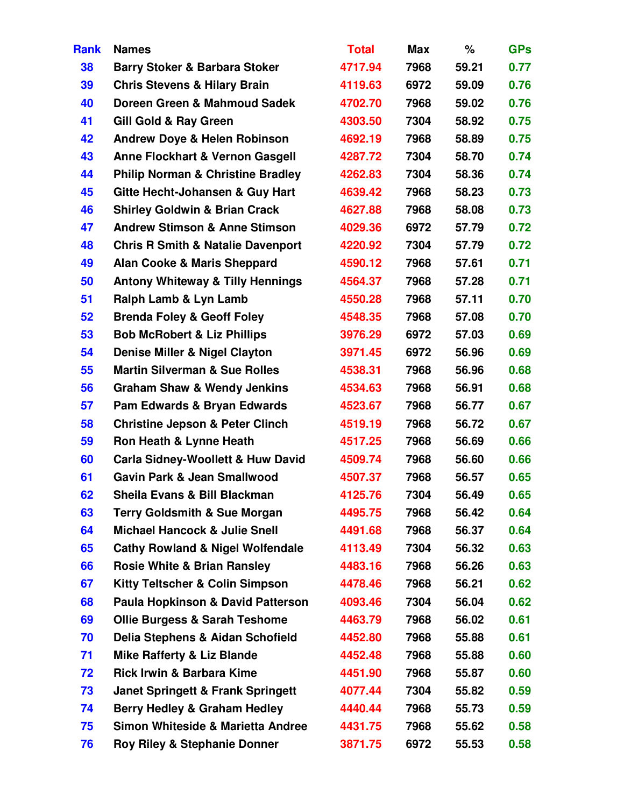| <b>Rank</b> | <b>Names</b>                                 | <b>Total</b> | Max  | $\%$  | <b>GPs</b> |
|-------------|----------------------------------------------|--------------|------|-------|------------|
| 38          | <b>Barry Stoker &amp; Barbara Stoker</b>     | 4717.94      | 7968 | 59.21 | 0.77       |
| 39          | <b>Chris Stevens &amp; Hilary Brain</b>      | 4119.63      | 6972 | 59.09 | 0.76       |
| 40          | Doreen Green & Mahmoud Sadek                 | 4702.70      | 7968 | 59.02 | 0.76       |
| 41          | <b>Gill Gold &amp; Ray Green</b>             | 4303.50      | 7304 | 58.92 | 0.75       |
| 42          | <b>Andrew Doye &amp; Helen Robinson</b>      | 4692.19      | 7968 | 58.89 | 0.75       |
| 43          | <b>Anne Flockhart &amp; Vernon Gasgell</b>   | 4287.72      | 7304 | 58.70 | 0.74       |
| 44          | <b>Philip Norman &amp; Christine Bradley</b> | 4262.83      | 7304 | 58.36 | 0.74       |
| 45          | Gitte Hecht-Johansen & Guy Hart              | 4639.42      | 7968 | 58.23 | 0.73       |
| 46          | <b>Shirley Goldwin &amp; Brian Crack</b>     | 4627.88      | 7968 | 58.08 | 0.73       |
| 47          | <b>Andrew Stimson &amp; Anne Stimson</b>     | 4029.36      | 6972 | 57.79 | 0.72       |
| 48          | <b>Chris R Smith &amp; Natalie Davenport</b> | 4220.92      | 7304 | 57.79 | 0.72       |
| 49          | <b>Alan Cooke &amp; Maris Sheppard</b>       | 4590.12      | 7968 | 57.61 | 0.71       |
| 50          | <b>Antony Whiteway &amp; Tilly Hennings</b>  | 4564.37      | 7968 | 57.28 | 0.71       |
| 51          | Ralph Lamb & Lyn Lamb                        | 4550.28      | 7968 | 57.11 | 0.70       |
| 52          | <b>Brenda Foley &amp; Geoff Foley</b>        | 4548.35      | 7968 | 57.08 | 0.70       |
| 53          | <b>Bob McRobert &amp; Liz Phillips</b>       | 3976.29      | 6972 | 57.03 | 0.69       |
| 54          | Denise Miller & Nigel Clayton                | 3971.45      | 6972 | 56.96 | 0.69       |
| 55          | <b>Martin Silverman &amp; Sue Rolles</b>     | 4538.31      | 7968 | 56.96 | 0.68       |
| 56          | <b>Graham Shaw &amp; Wendy Jenkins</b>       | 4534.63      | 7968 | 56.91 | 0.68       |
| 57          | Pam Edwards & Bryan Edwards                  | 4523.67      | 7968 | 56.77 | 0.67       |
| 58          | <b>Christine Jepson &amp; Peter Clinch</b>   | 4519.19      | 7968 | 56.72 | 0.67       |
| 59          | Ron Heath & Lynne Heath                      | 4517.25      | 7968 | 56.69 | 0.66       |
| 60          | <b>Carla Sidney-Woollett &amp; Huw David</b> | 4509.74      | 7968 | 56.60 | 0.66       |
| 61          | <b>Gavin Park &amp; Jean Smallwood</b>       | 4507.37      | 7968 | 56.57 | 0.65       |
| 62          | Sheila Evans & Bill Blackman                 | 4125.76      | 7304 | 56.49 | 0.65       |
| 63          | <b>Terry Goldsmith &amp; Sue Morgan</b>      | 4495.75      | 7968 | 56.42 | 0.64       |
| 64          | <b>Michael Hancock &amp; Julie Snell</b>     | 4491.68      | 7968 | 56.37 | 0.64       |
| 65          | <b>Cathy Rowland &amp; Nigel Wolfendale</b>  | 4113.49      | 7304 | 56.32 | 0.63       |
| 66          | <b>Rosie White &amp; Brian Ransley</b>       | 4483.16      | 7968 | 56.26 | 0.63       |
| 67          | <b>Kitty Teltscher &amp; Colin Simpson</b>   | 4478.46      | 7968 | 56.21 | 0.62       |
| 68          | <b>Paula Hopkinson &amp; David Patterson</b> | 4093.46      | 7304 | 56.04 | 0.62       |
| 69          | <b>Ollie Burgess &amp; Sarah Teshome</b>     | 4463.79      | 7968 | 56.02 | 0.61       |
| 70          | Delia Stephens & Aidan Schofield             | 4452.80      | 7968 | 55.88 | 0.61       |
| 71          | <b>Mike Rafferty &amp; Liz Blande</b>        | 4452.48      | 7968 | 55.88 | 0.60       |
| 72          | <b>Rick Irwin &amp; Barbara Kime</b>         | 4451.90      | 7968 | 55.87 | 0.60       |
| 73          | <b>Janet Springett &amp; Frank Springett</b> | 4077.44      | 7304 | 55.82 | 0.59       |
| 74          | <b>Berry Hedley &amp; Graham Hedley</b>      | 4440.44      | 7968 | 55.73 | 0.59       |
| 75          | <b>Simon Whiteside &amp; Marietta Andree</b> | 4431.75      | 7968 | 55.62 | 0.58       |
| 76          | <b>Roy Riley &amp; Stephanie Donner</b>      | 3871.75      | 6972 | 55.53 | 0.58       |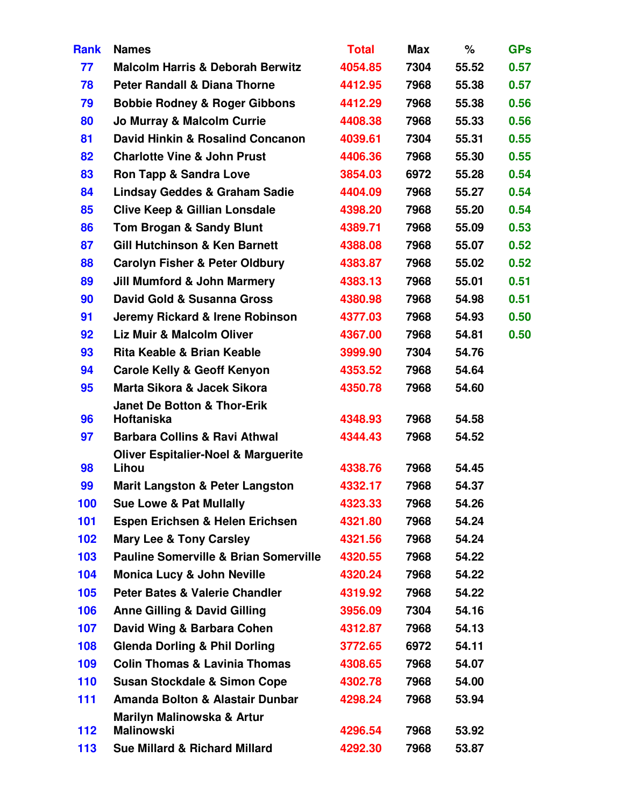| <b>Rank</b> | <b>Names</b>                                         | <b>Total</b> | <b>Max</b> | $\%$  | <b>GPs</b> |
|-------------|------------------------------------------------------|--------------|------------|-------|------------|
| 77          | <b>Malcolm Harris &amp; Deborah Berwitz</b>          | 4054.85      | 7304       | 55.52 | 0.57       |
| 78          | <b>Peter Randall &amp; Diana Thorne</b>              | 4412.95      | 7968       | 55.38 | 0.57       |
| 79          | <b>Bobbie Rodney &amp; Roger Gibbons</b>             | 4412.29      | 7968       | 55.38 | 0.56       |
| 80          | Jo Murray & Malcolm Currie                           | 4408.38      | 7968       | 55.33 | 0.56       |
| 81          | David Hinkin & Rosalind Concanon                     | 4039.61      | 7304       | 55.31 | 0.55       |
| 82          | <b>Charlotte Vine &amp; John Prust</b>               | 4406.36      | 7968       | 55.30 | 0.55       |
| 83          | <b>Ron Tapp &amp; Sandra Love</b>                    | 3854.03      | 6972       | 55.28 | 0.54       |
| 84          | <b>Lindsay Geddes &amp; Graham Sadie</b>             | 4404.09      | 7968       | 55.27 | 0.54       |
| 85          | <b>Clive Keep &amp; Gillian Lonsdale</b>             | 4398.20      | 7968       | 55.20 | 0.54       |
| 86          | <b>Tom Brogan &amp; Sandy Blunt</b>                  | 4389.71      | 7968       | 55.09 | 0.53       |
| 87          | <b>Gill Hutchinson &amp; Ken Barnett</b>             | 4388.08      | 7968       | 55.07 | 0.52       |
| 88          | <b>Carolyn Fisher &amp; Peter Oldbury</b>            | 4383.87      | 7968       | 55.02 | 0.52       |
| 89          | <b>Jill Mumford &amp; John Marmery</b>               | 4383.13      | 7968       | 55.01 | 0.51       |
| 90          | David Gold & Susanna Gross                           | 4380.98      | 7968       | 54.98 | 0.51       |
| 91          | Jeremy Rickard & Irene Robinson                      | 4377.03      | 7968       | 54.93 | 0.50       |
| 92          | <b>Liz Muir &amp; Malcolm Oliver</b>                 | 4367.00      | 7968       | 54.81 | 0.50       |
| 93          | Rita Keable & Brian Keable                           | 3999.90      | 7304       | 54.76 |            |
| 94          | <b>Carole Kelly &amp; Geoff Kenyon</b>               | 4353.52      | 7968       | 54.64 |            |
| 95          | Marta Sikora & Jacek Sikora                          | 4350.78      | 7968       | 54.60 |            |
| 96          | <b>Janet De Botton &amp; Thor-Erik</b><br>Hoftaniska | 4348.93      | 7968       | 54.58 |            |
| 97          | <b>Barbara Collins &amp; Ravi Athwal</b>             | 4344.43      | 7968       | 54.52 |            |
|             | <b>Oliver Espitalier-Noel &amp; Marguerite</b>       |              |            |       |            |
| 98          | Lihou                                                | 4338.76      | 7968       | 54.45 |            |
| 99          | <b>Marit Langston &amp; Peter Langston</b>           | 4332.17      | 7968       | 54.37 |            |
| 100         | <b>Sue Lowe &amp; Pat Mullally</b>                   | 4323.33      | 7968       | 54.26 |            |
| 101         | Espen Erichsen & Helen Erichsen                      | 4321.80      | 7968       | 54.24 |            |
| 102         | <b>Mary Lee &amp; Tony Carsley</b>                   | 4321.56      | 7968       | 54.24 |            |
| 103         | <b>Pauline Somerville &amp; Brian Somerville</b>     | 4320.55      | 7968       | 54.22 |            |
| 104         | <b>Monica Lucy &amp; John Neville</b>                | 4320.24      | 7968       | 54.22 |            |
| 105         | <b>Peter Bates &amp; Valerie Chandler</b>            | 4319.92      | 7968       | 54.22 |            |
| 106         | <b>Anne Gilling &amp; David Gilling</b>              | 3956.09      | 7304       | 54.16 |            |
| 107         | David Wing & Barbara Cohen                           | 4312.87      | 7968       | 54.13 |            |
| 108         | <b>Glenda Dorling &amp; Phil Dorling</b>             | 3772.65      | 6972       | 54.11 |            |
| 109         | <b>Colin Thomas &amp; Lavinia Thomas</b>             | 4308.65      | 7968       | 54.07 |            |
| 110         | <b>Susan Stockdale &amp; Simon Cope</b>              | 4302.78      | 7968       | 54.00 |            |
| 111         | <b>Amanda Bolton &amp; Alastair Dunbar</b>           | 4298.24      | 7968       | 53.94 |            |
|             | Marilyn Malinowska & Artur                           |              |            |       |            |
| 112         | <b>Malinowski</b>                                    | 4296.54      | 7968       | 53.92 |            |
| 113         | <b>Sue Millard &amp; Richard Millard</b>             | 4292.30      | 7968       | 53.87 |            |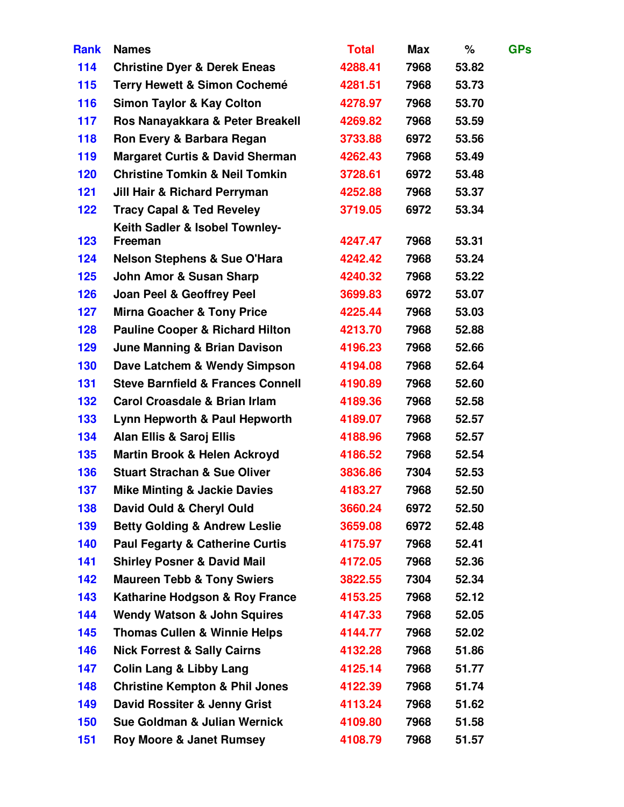| <b>Rank</b> | <b>Names</b>                                 | <b>Total</b> | <b>Max</b> | %     | <b>GPs</b> |
|-------------|----------------------------------------------|--------------|------------|-------|------------|
| 114         | <b>Christine Dyer &amp; Derek Eneas</b>      | 4288.41      | 7968       | 53.82 |            |
| 115         | <b>Terry Hewett &amp; Simon Cochemé</b>      | 4281.51      | 7968       | 53.73 |            |
| 116         | <b>Simon Taylor &amp; Kay Colton</b>         | 4278.97      | 7968       | 53.70 |            |
| 117         | Ros Nanayakkara & Peter Breakell             | 4269.82      | 7968       | 53.59 |            |
| 118         | Ron Every & Barbara Regan                    | 3733.88      | 6972       | 53.56 |            |
| 119         | <b>Margaret Curtis &amp; David Sherman</b>   | 4262.43      | 7968       | 53.49 |            |
| 120         | <b>Christine Tomkin &amp; Neil Tomkin</b>    | 3728.61      | 6972       | 53.48 |            |
| 121         | Jill Hair & Richard Perryman                 | 4252.88      | 7968       | 53.37 |            |
| 122         | <b>Tracy Capal &amp; Ted Reveley</b>         | 3719.05      | 6972       | 53.34 |            |
|             | Keith Sadler & Isobel Townley-               |              |            |       |            |
| 123         | Freeman                                      | 4247.47      | 7968       | 53.31 |            |
| 124         | <b>Nelson Stephens &amp; Sue O'Hara</b>      | 4242.42      | 7968       | 53.24 |            |
| 125         | John Amor & Susan Sharp                      | 4240.32      | 7968       | 53.22 |            |
| 126         | <b>Joan Peel &amp; Geoffrey Peel</b>         | 3699.83      | 6972       | 53.07 |            |
| 127         | <b>Mirna Goacher &amp; Tony Price</b>        | 4225.44      | 7968       | 53.03 |            |
| 128         | <b>Pauline Cooper &amp; Richard Hilton</b>   | 4213.70      | 7968       | 52.88 |            |
| 129         | <b>June Manning &amp; Brian Davison</b>      | 4196.23      | 7968       | 52.66 |            |
| 130         | Dave Latchem & Wendy Simpson                 | 4194.08      | 7968       | 52.64 |            |
| 131         | <b>Steve Barnfield &amp; Frances Connell</b> | 4190.89      | 7968       | 52.60 |            |
| 132         | <b>Carol Croasdale &amp; Brian Irlam</b>     | 4189.36      | 7968       | 52.58 |            |
| 133         | Lynn Hepworth & Paul Hepworth                | 4189.07      | 7968       | 52.57 |            |
| 134         | <b>Alan Ellis &amp; Saroj Ellis</b>          | 4188.96      | 7968       | 52.57 |            |
| 135         | <b>Martin Brook &amp; Helen Ackroyd</b>      | 4186.52      | 7968       | 52.54 |            |
| 136         | <b>Stuart Strachan &amp; Sue Oliver</b>      | 3836.86      | 7304       | 52.53 |            |
| 137         | <b>Mike Minting &amp; Jackie Davies</b>      | 4183.27      | 7968       | 52.50 |            |
| 138         | David Ould & Cheryl Ould                     | 3660.24      | 6972       | 52.50 |            |
| 139         | <b>Betty Golding &amp; Andrew Leslie</b>     | 3659.08      | 6972       | 52.48 |            |
| 140         | <b>Paul Fegarty &amp; Catherine Curtis</b>   | 4175.97      | 7968       | 52.41 |            |
| 141         | <b>Shirley Posner &amp; David Mail</b>       | 4172.05      | 7968       | 52.36 |            |
| 142         | <b>Maureen Tebb &amp; Tony Swiers</b>        | 3822.55      | 7304       | 52.34 |            |
| 143         | Katharine Hodgson & Roy France               | 4153.25      | 7968       | 52.12 |            |
| 144         | <b>Wendy Watson &amp; John Squires</b>       | 4147.33      | 7968       | 52.05 |            |
| 145         | <b>Thomas Cullen &amp; Winnie Helps</b>      | 4144.77      | 7968       | 52.02 |            |
| 146         | <b>Nick Forrest &amp; Sally Cairns</b>       | 4132.28      | 7968       | 51.86 |            |
| 147         | <b>Colin Lang &amp; Libby Lang</b>           | 4125.14      | 7968       | 51.77 |            |
| 148         | <b>Christine Kempton &amp; Phil Jones</b>    | 4122.39      | 7968       | 51.74 |            |
| 149         | David Rossiter & Jenny Grist                 | 4113.24      | 7968       | 51.62 |            |
| 150         | Sue Goldman & Julian Wernick                 | 4109.80      | 7968       | 51.58 |            |
| 151         | <b>Roy Moore &amp; Janet Rumsey</b>          | 4108.79      | 7968       | 51.57 |            |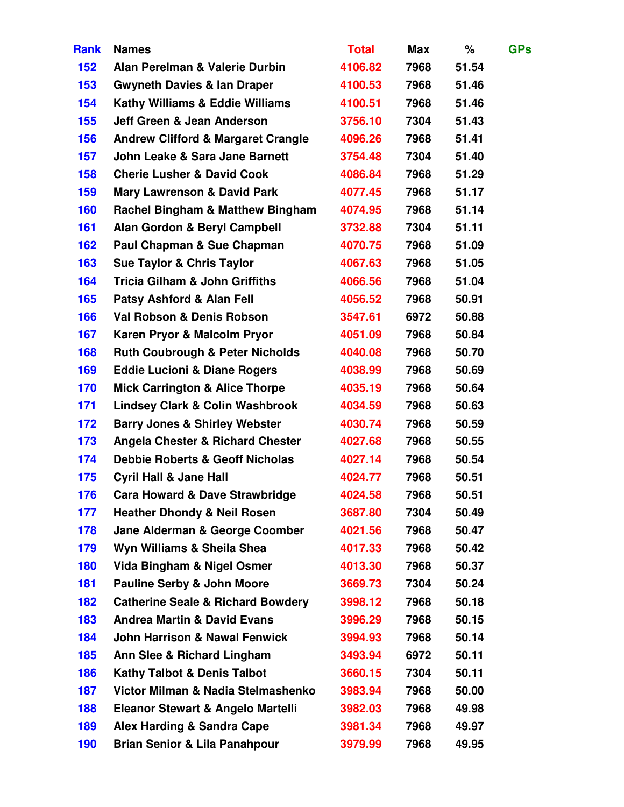| <b>Rank</b> | <b>Names</b>                                  | <b>Total</b> | <b>Max</b> | %     | <b>GPs</b> |
|-------------|-----------------------------------------------|--------------|------------|-------|------------|
| 152         | Alan Perelman & Valerie Durbin                | 4106.82      | 7968       | 51.54 |            |
| 153         | <b>Gwyneth Davies &amp; lan Draper</b>        | 4100.53      | 7968       | 51.46 |            |
| 154         | <b>Kathy Williams &amp; Eddie Williams</b>    | 4100.51      | 7968       | 51.46 |            |
| 155         | Jeff Green & Jean Anderson                    | 3756.10      | 7304       | 51.43 |            |
| 156         | <b>Andrew Clifford &amp; Margaret Crangle</b> | 4096.26      | 7968       | 51.41 |            |
| 157         | John Leake & Sara Jane Barnett                | 3754.48      | 7304       | 51.40 |            |
| 158         | <b>Cherie Lusher &amp; David Cook</b>         | 4086.84      | 7968       | 51.29 |            |
| 159         | <b>Mary Lawrenson &amp; David Park</b>        | 4077.45      | 7968       | 51.17 |            |
| 160         | <b>Rachel Bingham &amp; Matthew Bingham</b>   | 4074.95      | 7968       | 51.14 |            |
| 161         | <b>Alan Gordon &amp; Beryl Campbell</b>       | 3732.88      | 7304       | 51.11 |            |
| 162         | Paul Chapman & Sue Chapman                    | 4070.75      | 7968       | 51.09 |            |
| 163         | <b>Sue Taylor &amp; Chris Taylor</b>          | 4067.63      | 7968       | 51.05 |            |
| 164         | <b>Tricia Gilham &amp; John Griffiths</b>     | 4066.56      | 7968       | 51.04 |            |
| 165         | <b>Patsy Ashford &amp; Alan Fell</b>          | 4056.52      | 7968       | 50.91 |            |
| 166         | Val Robson & Denis Robson                     | 3547.61      | 6972       | 50.88 |            |
| 167         | Karen Pryor & Malcolm Pryor                   | 4051.09      | 7968       | 50.84 |            |
| 168         | <b>Ruth Coubrough &amp; Peter Nicholds</b>    | 4040.08      | 7968       | 50.70 |            |
| 169         | <b>Eddie Lucioni &amp; Diane Rogers</b>       | 4038.99      | 7968       | 50.69 |            |
| 170         | <b>Mick Carrington &amp; Alice Thorpe</b>     | 4035.19      | 7968       | 50.64 |            |
| 171         | <b>Lindsey Clark &amp; Colin Washbrook</b>    | 4034.59      | 7968       | 50.63 |            |
| 172         | <b>Barry Jones &amp; Shirley Webster</b>      | 4030.74      | 7968       | 50.59 |            |
| 173         | <b>Angela Chester &amp; Richard Chester</b>   | 4027.68      | 7968       | 50.55 |            |
| 174         | <b>Debbie Roberts &amp; Geoff Nicholas</b>    | 4027.14      | 7968       | 50.54 |            |
| 175         | <b>Cyril Hall &amp; Jane Hall</b>             | 4024.77      | 7968       | 50.51 |            |
| 176         | <b>Cara Howard &amp; Dave Strawbridge</b>     | 4024.58      | 7968       | 50.51 |            |
| 177         | <b>Heather Dhondy &amp; Neil Rosen</b>        | 3687.80      | 7304       | 50.49 |            |
| 178         | Jane Alderman & George Coomber                | 4021.56      | 7968       | 50.47 |            |
| 179         | Wyn Williams & Sheila Shea                    | 4017.33      | 7968       | 50.42 |            |
| 180         | Vida Bingham & Nigel Osmer                    | 4013.30      | 7968       | 50.37 |            |
| 181         | <b>Pauline Serby &amp; John Moore</b>         | 3669.73      | 7304       | 50.24 |            |
| 182         | <b>Catherine Seale &amp; Richard Bowdery</b>  | 3998.12      | 7968       | 50.18 |            |
| 183         | <b>Andrea Martin &amp; David Evans</b>        | 3996.29      | 7968       | 50.15 |            |
| 184         | <b>John Harrison &amp; Nawal Fenwick</b>      | 3994.93      | 7968       | 50.14 |            |
| 185         | Ann Slee & Richard Lingham                    | 3493.94      | 6972       | 50.11 |            |
| 186         | <b>Kathy Talbot &amp; Denis Talbot</b>        | 3660.15      | 7304       | 50.11 |            |
| 187         | Victor Milman & Nadia Stelmashenko            | 3983.94      | 7968       | 50.00 |            |
| 188         | Eleanor Stewart & Angelo Martelli             | 3982.03      | 7968       | 49.98 |            |
| 189         | <b>Alex Harding &amp; Sandra Cape</b>         | 3981.34      | 7968       | 49.97 |            |
| 190         | <b>Brian Senior &amp; Lila Panahpour</b>      | 3979.99      | 7968       | 49.95 |            |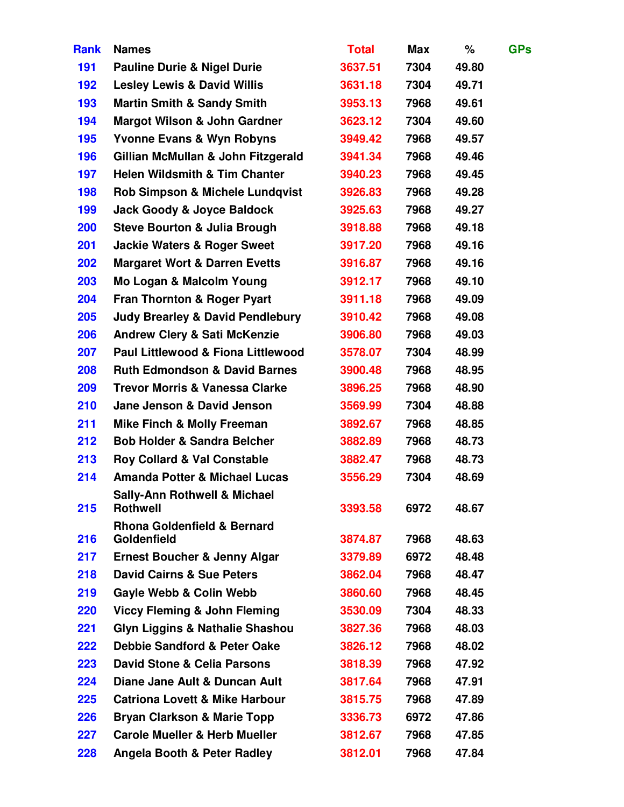| <b>Rank</b> | <b>Names</b>                                               | <b>Total</b> | <b>Max</b> | %     | <b>GPs</b> |
|-------------|------------------------------------------------------------|--------------|------------|-------|------------|
| 191         | <b>Pauline Durie &amp; Nigel Durie</b>                     | 3637.51      | 7304       | 49.80 |            |
| 192         | <b>Lesley Lewis &amp; David Willis</b>                     | 3631.18      | 7304       | 49.71 |            |
| 193         | <b>Martin Smith &amp; Sandy Smith</b>                      | 3953.13      | 7968       | 49.61 |            |
| 194         | <b>Margot Wilson &amp; John Gardner</b>                    | 3623.12      | 7304       | 49.60 |            |
| 195         | <b>Yvonne Evans &amp; Wyn Robyns</b>                       | 3949.42      | 7968       | 49.57 |            |
| 196         | Gillian McMullan & John Fitzgerald                         | 3941.34      | 7968       | 49.46 |            |
| 197         | <b>Helen Wildsmith &amp; Tim Chanter</b>                   | 3940.23      | 7968       | 49.45 |            |
| 198         | <b>Rob Simpson &amp; Michele Lundqvist</b>                 | 3926.83      | 7968       | 49.28 |            |
| 199         | <b>Jack Goody &amp; Joyce Baldock</b>                      | 3925.63      | 7968       | 49.27 |            |
| 200         | <b>Steve Bourton &amp; Julia Brough</b>                    | 3918.88      | 7968       | 49.18 |            |
| 201         | <b>Jackie Waters &amp; Roger Sweet</b>                     | 3917.20      | 7968       | 49.16 |            |
| 202         | <b>Margaret Wort &amp; Darren Evetts</b>                   | 3916.87      | 7968       | 49.16 |            |
| 203         | Mo Logan & Malcolm Young                                   | 3912.17      | 7968       | 49.10 |            |
| 204         | <b>Fran Thornton &amp; Roger Pyart</b>                     | 3911.18      | 7968       | 49.09 |            |
| 205         | <b>Judy Brearley &amp; David Pendlebury</b>                | 3910.42      | 7968       | 49.08 |            |
| 206         | <b>Andrew Clery &amp; Sati McKenzie</b>                    | 3906.80      | 7968       | 49.03 |            |
| 207         | Paul Littlewood & Fiona Littlewood                         | 3578.07      | 7304       | 48.99 |            |
| 208         | <b>Ruth Edmondson &amp; David Barnes</b>                   | 3900.48      | 7968       | 48.95 |            |
| 209         | <b>Trevor Morris &amp; Vanessa Clarke</b>                  | 3896.25      | 7968       | 48.90 |            |
| 210         | Jane Jenson & David Jenson                                 | 3569.99      | 7304       | 48.88 |            |
| 211         | <b>Mike Finch &amp; Molly Freeman</b>                      | 3892.67      | 7968       | 48.85 |            |
| 212         | <b>Bob Holder &amp; Sandra Belcher</b>                     | 3882.89      | 7968       | 48.73 |            |
| 213         | <b>Roy Collard &amp; Val Constable</b>                     | 3882.47      | 7968       | 48.73 |            |
| 214         | <b>Amanda Potter &amp; Michael Lucas</b>                   | 3556.29      | 7304       | 48.69 |            |
| 215         | <b>Sally-Ann Rothwell &amp; Michael</b><br><b>Rothwell</b> | 3393.58      | 6972       | 48.67 |            |
|             | <b>Rhona Goldenfield &amp; Bernard</b>                     |              |            |       |            |
| 216         | <b>Goldenfield</b>                                         | 3874.87      | 7968       | 48.63 |            |
| 217         | <b>Ernest Boucher &amp; Jenny Algar</b>                    | 3379.89      | 6972       | 48.48 |            |
| 218         | <b>David Cairns &amp; Sue Peters</b>                       | 3862.04      | 7968       | 48.47 |            |
| 219         | <b>Gayle Webb &amp; Colin Webb</b>                         | 3860.60      | 7968       | 48.45 |            |
| 220         | <b>Viccy Fleming &amp; John Fleming</b>                    | 3530.09      | 7304       | 48.33 |            |
| 221         | <b>Glyn Liggins &amp; Nathalie Shashou</b>                 | 3827.36      | 7968       | 48.03 |            |
| 222         | <b>Debbie Sandford &amp; Peter Oake</b>                    | 3826.12      | 7968       | 48.02 |            |
| 223         | <b>David Stone &amp; Celia Parsons</b>                     | 3818.39      | 7968       | 47.92 |            |
| 224         | Diane Jane Ault & Duncan Ault                              | 3817.64      | 7968       | 47.91 |            |
| 225         | <b>Catriona Lovett &amp; Mike Harbour</b>                  | 3815.75      | 7968       | 47.89 |            |
| 226         | <b>Bryan Clarkson &amp; Marie Topp</b>                     | 3336.73      | 6972       | 47.86 |            |
| 227         | <b>Carole Mueller &amp; Herb Mueller</b>                   | 3812.67      | 7968       | 47.85 |            |
| 228         | <b>Angela Booth &amp; Peter Radley</b>                     | 3812.01      | 7968       | 47.84 |            |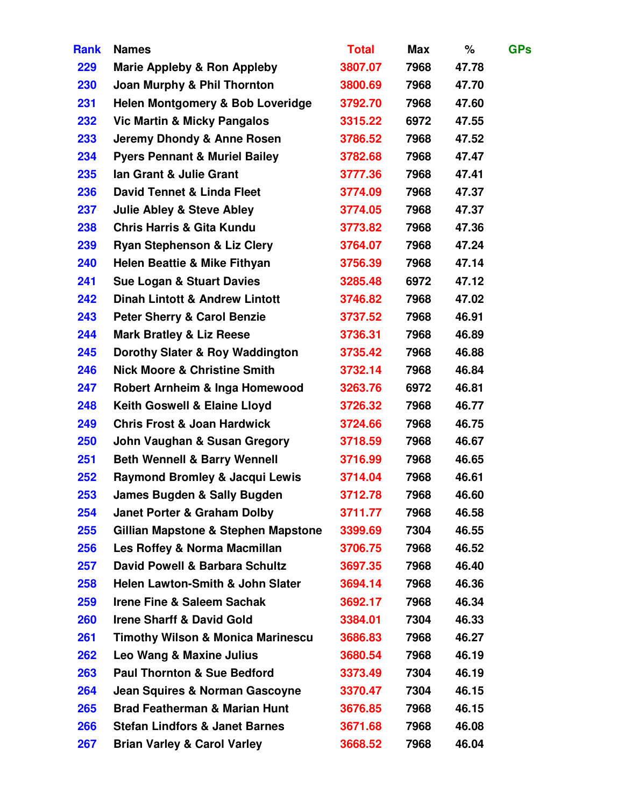| <b>Rank</b> | <b>Names</b>                                 | <b>Total</b> | Max  | ℅     | <b>GPs</b> |
|-------------|----------------------------------------------|--------------|------|-------|------------|
| 229         | <b>Marie Appleby &amp; Ron Appleby</b>       | 3807.07      | 7968 | 47.78 |            |
| 230         | Joan Murphy & Phil Thornton                  | 3800.69      | 7968 | 47.70 |            |
| 231         | <b>Helen Montgomery &amp; Bob Loveridge</b>  | 3792.70      | 7968 | 47.60 |            |
| 232         | <b>Vic Martin &amp; Micky Pangalos</b>       | 3315.22      | 6972 | 47.55 |            |
| 233         | Jeremy Dhondy & Anne Rosen                   | 3786.52      | 7968 | 47.52 |            |
| 234         | <b>Pyers Pennant &amp; Muriel Bailey</b>     | 3782.68      | 7968 | 47.47 |            |
| 235         | Ian Grant & Julie Grant                      | 3777.36      | 7968 | 47.41 |            |
| 236         | David Tennet & Linda Fleet                   | 3774.09      | 7968 | 47.37 |            |
| 237         | <b>Julie Abley &amp; Steve Abley</b>         | 3774.05      | 7968 | 47.37 |            |
| 238         | <b>Chris Harris &amp; Gita Kundu</b>         | 3773.82      | 7968 | 47.36 |            |
| 239         | <b>Ryan Stephenson &amp; Liz Clery</b>       | 3764.07      | 7968 | 47.24 |            |
| 240         | <b>Helen Beattie &amp; Mike Fithyan</b>      | 3756.39      | 7968 | 47.14 |            |
| 241         | <b>Sue Logan &amp; Stuart Davies</b>         | 3285.48      | 6972 | 47.12 |            |
| 242         | <b>Dinah Lintott &amp; Andrew Lintott</b>    | 3746.82      | 7968 | 47.02 |            |
| 243         | <b>Peter Sherry &amp; Carol Benzie</b>       | 3737.52      | 7968 | 46.91 |            |
| 244         | <b>Mark Bratley &amp; Liz Reese</b>          | 3736.31      | 7968 | 46.89 |            |
| 245         | Dorothy Slater & Roy Waddington              | 3735.42      | 7968 | 46.88 |            |
| 246         | <b>Nick Moore &amp; Christine Smith</b>      | 3732.14      | 7968 | 46.84 |            |
| 247         | Robert Arnheim & Inga Homewood               | 3263.76      | 6972 | 46.81 |            |
| 248         | Keith Goswell & Elaine Lloyd                 | 3726.32      | 7968 | 46.77 |            |
| 249         | <b>Chris Frost &amp; Joan Hardwick</b>       | 3724.66      | 7968 | 46.75 |            |
| 250         | John Vaughan & Susan Gregory                 | 3718.59      | 7968 | 46.67 |            |
| 251         | <b>Beth Wennell &amp; Barry Wennell</b>      | 3716.99      | 7968 | 46.65 |            |
| 252         | Raymond Bromley & Jacqui Lewis               | 3714.04      | 7968 | 46.61 |            |
| 253         | James Bugden & Sally Bugden                  | 3712.78      | 7968 | 46.60 |            |
| 254         | <b>Janet Porter &amp; Graham Dolby</b>       | 3711.77      | 7968 | 46.58 |            |
| 255         | Gillian Mapstone & Stephen Mapstone          | 3399.69      | 7304 | 46.55 |            |
| 256         | Les Roffey & Norma Macmillan                 | 3706.75      | 7968 | 46.52 |            |
| 257         | David Powell & Barbara Schultz               | 3697.35      | 7968 | 46.40 |            |
| 258         | <b>Helen Lawton-Smith &amp; John Slater</b>  | 3694.14      | 7968 | 46.36 |            |
| 259         | <b>Irene Fine &amp; Saleem Sachak</b>        | 3692.17      | 7968 | 46.34 |            |
| <b>260</b>  | <b>Irene Sharff &amp; David Gold</b>         | 3384.01      | 7304 | 46.33 |            |
| 261         | <b>Timothy Wilson &amp; Monica Marinescu</b> | 3686.83      | 7968 | 46.27 |            |
| 262         | Leo Wang & Maxine Julius                     | 3680.54      | 7968 | 46.19 |            |
| 263         | <b>Paul Thornton &amp; Sue Bedford</b>       | 3373.49      | 7304 | 46.19 |            |
| 264         | Jean Squires & Norman Gascoyne               | 3370.47      | 7304 | 46.15 |            |
| 265         | <b>Brad Featherman &amp; Marian Hunt</b>     | 3676.85      | 7968 | 46.15 |            |
| 266         | <b>Stefan Lindfors &amp; Janet Barnes</b>    | 3671.68      | 7968 | 46.08 |            |
| 267         | <b>Brian Varley &amp; Carol Varley</b>       | 3668.52      | 7968 | 46.04 |            |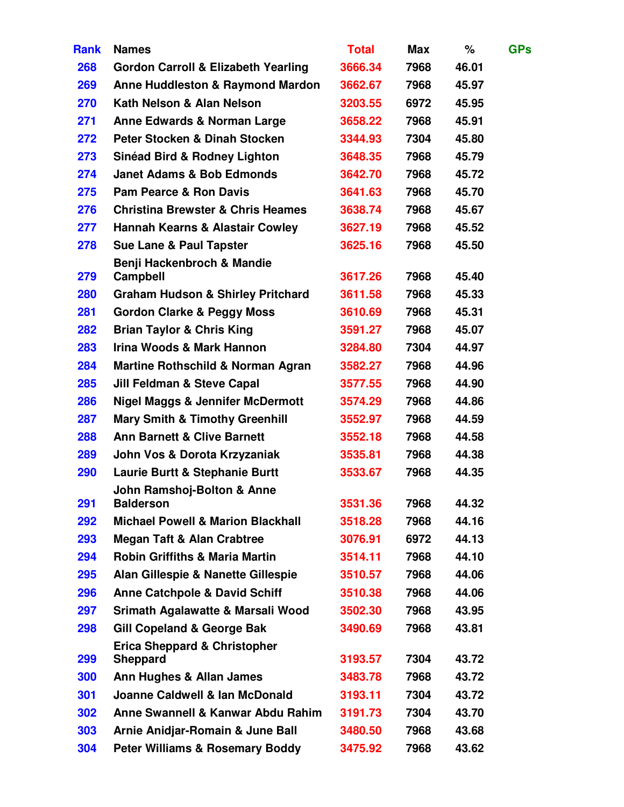| <b>Rank</b> | <b>Names</b>                                               | <b>Total</b> | <b>Max</b> | ℅     | <b>GPs</b> |
|-------------|------------------------------------------------------------|--------------|------------|-------|------------|
| 268         | <b>Gordon Carroll &amp; Elizabeth Yearling</b>             | 3666.34      | 7968       | 46.01 |            |
| 269         | <b>Anne Huddleston &amp; Raymond Mardon</b>                | 3662.67      | 7968       | 45.97 |            |
| 270         | Kath Nelson & Alan Nelson                                  | 3203.55      | 6972       | 45.95 |            |
| 271         | <b>Anne Edwards &amp; Norman Large</b>                     | 3658.22      | 7968       | 45.91 |            |
| 272         | Peter Stocken & Dinah Stocken                              | 3344.93      | 7304       | 45.80 |            |
| 273         | <b>Sinéad Bird &amp; Rodney Lighton</b>                    | 3648.35      | 7968       | 45.79 |            |
| 274         | <b>Janet Adams &amp; Bob Edmonds</b>                       | 3642.70      | 7968       | 45.72 |            |
| 275         | <b>Pam Pearce &amp; Ron Davis</b>                          | 3641.63      | 7968       | 45.70 |            |
| 276         | <b>Christina Brewster &amp; Chris Heames</b>               | 3638.74      | 7968       | 45.67 |            |
| 277         | <b>Hannah Kearns &amp; Alastair Cowley</b>                 | 3627.19      | 7968       | 45.52 |            |
| 278         | <b>Sue Lane &amp; Paul Tapster</b>                         | 3625.16      | 7968       | 45.50 |            |
| 279         | Benji Hackenbroch & Mandie<br><b>Campbell</b>              | 3617.26      | 7968       | 45.40 |            |
| <b>280</b>  | <b>Graham Hudson &amp; Shirley Pritchard</b>               | 3611.58      | 7968       | 45.33 |            |
| 281         | <b>Gordon Clarke &amp; Peggy Moss</b>                      | 3610.69      | 7968       | 45.31 |            |
| 282         | <b>Brian Taylor &amp; Chris King</b>                       | 3591.27      | 7968       | 45.07 |            |
| 283         | Irina Woods & Mark Hannon                                  | 3284.80      | 7304       | 44.97 |            |
| 284         | <b>Martine Rothschild &amp; Norman Agran</b>               | 3582.27      | 7968       | 44.96 |            |
| 285         | <b>Jill Feldman &amp; Steve Capal</b>                      | 3577.55      | 7968       | 44.90 |            |
| 286         | <b>Nigel Maggs &amp; Jennifer McDermott</b>                | 3574.29      | 7968       | 44.86 |            |
| 287         | <b>Mary Smith &amp; Timothy Greenhill</b>                  | 3552.97      | 7968       | 44.59 |            |
| 288         | <b>Ann Barnett &amp; Clive Barnett</b>                     | 3552.18      | 7968       | 44.58 |            |
| 289         | John Vos & Dorota Krzyzaniak                               | 3535.81      | 7968       | 44.38 |            |
| 290         | <b>Laurie Burtt &amp; Stephanie Burtt</b>                  | 3533.67      | 7968       | 44.35 |            |
| 291         | John Ramshoj-Bolton & Anne<br><b>Balderson</b>             | 3531.36      | 7968       | 44.32 |            |
| 292         | <b>Michael Powell &amp; Marion Blackhall</b>               | 3518.28      | 7968       | 44.16 |            |
| 293         | <b>Megan Taft &amp; Alan Crabtree</b>                      | 3076.91      | 6972       | 44.13 |            |
| 294         | <b>Robin Griffiths &amp; Maria Martin</b>                  | 3514.11      | 7968       | 44.10 |            |
| 295         | Alan Gillespie & Nanette Gillespie                         | 3510.57      | 7968       | 44.06 |            |
| 296         | <b>Anne Catchpole &amp; David Schiff</b>                   | 3510.38      | 7968       | 44.06 |            |
| 297         | Srimath Agalawatte & Marsali Wood                          | 3502.30      | 7968       | 43.95 |            |
| 298         | <b>Gill Copeland &amp; George Bak</b>                      | 3490.69      | 7968       | 43.81 |            |
| 299         | <b>Erica Sheppard &amp; Christopher</b><br><b>Sheppard</b> | 3193.57      | 7304       | 43.72 |            |
| 300         | Ann Hughes & Allan James                                   | 3483.78      | 7968       | 43.72 |            |
| 301         | Joanne Caldwell & Ian McDonald                             | 3193.11      | 7304       | 43.72 |            |
| 302         | Anne Swannell & Kanwar Abdu Rahim                          | 3191.73      | 7304       | 43.70 |            |
| 303         | Arnie Anidjar-Romain & June Ball                           | 3480.50      | 7968       | 43.68 |            |
| 304         | <b>Peter Williams &amp; Rosemary Boddy</b>                 | 3475.92      | 7968       | 43.62 |            |
|             |                                                            |              |            |       |            |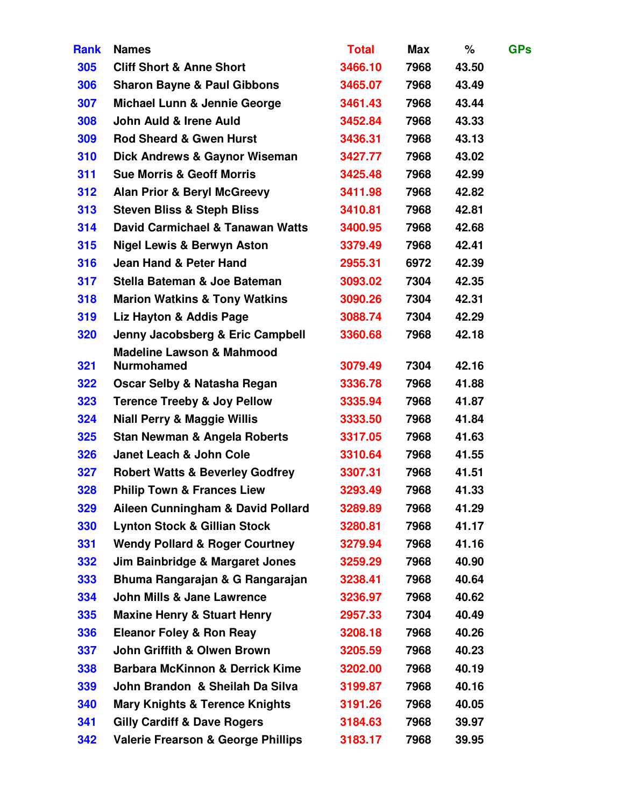| <b>Rank</b> | <b>Names</b>                                  | <b>Total</b> | Max  | ℅     | <b>GPs</b> |
|-------------|-----------------------------------------------|--------------|------|-------|------------|
| 305         | <b>Cliff Short &amp; Anne Short</b>           | 3466.10      | 7968 | 43.50 |            |
| 306         | <b>Sharon Bayne &amp; Paul Gibbons</b>        | 3465.07      | 7968 | 43.49 |            |
| 307         | <b>Michael Lunn &amp; Jennie George</b>       | 3461.43      | 7968 | 43.44 |            |
| 308         | John Auld & Irene Auld                        | 3452.84      | 7968 | 43.33 |            |
| 309         | <b>Rod Sheard &amp; Gwen Hurst</b>            | 3436.31      | 7968 | 43.13 |            |
| 310         | Dick Andrews & Gaynor Wiseman                 | 3427.77      | 7968 | 43.02 |            |
| 311         | <b>Sue Morris &amp; Geoff Morris</b>          | 3425.48      | 7968 | 42.99 |            |
| 312         | <b>Alan Prior &amp; Beryl McGreevy</b>        | 3411.98      | 7968 | 42.82 |            |
| 313         | <b>Steven Bliss &amp; Steph Bliss</b>         | 3410.81      | 7968 | 42.81 |            |
| 314         | David Carmichael & Tanawan Watts              | 3400.95      | 7968 | 42.68 |            |
| 315         | <b>Nigel Lewis &amp; Berwyn Aston</b>         | 3379.49      | 7968 | 42.41 |            |
| 316         | Jean Hand & Peter Hand                        | 2955.31      | 6972 | 42.39 |            |
| 317         | Stella Bateman & Joe Bateman                  | 3093.02      | 7304 | 42.35 |            |
| 318         | <b>Marion Watkins &amp; Tony Watkins</b>      | 3090.26      | 7304 | 42.31 |            |
| 319         | Liz Hayton & Addis Page                       | 3088.74      | 7304 | 42.29 |            |
| 320         | Jenny Jacobsberg & Eric Campbell              | 3360.68      | 7968 | 42.18 |            |
|             | <b>Madeline Lawson &amp; Mahmood</b>          |              |      |       |            |
| 321         | <b>Nurmohamed</b>                             | 3079.49      | 7304 | 42.16 |            |
| 322         | Oscar Selby & Natasha Regan                   | 3336.78      | 7968 | 41.88 |            |
| 323         | <b>Terence Treeby &amp; Joy Pellow</b>        | 3335.94      | 7968 | 41.87 |            |
| 324         | <b>Niall Perry &amp; Maggie Willis</b>        | 3333.50      | 7968 | 41.84 |            |
| 325         | <b>Stan Newman &amp; Angela Roberts</b>       | 3317.05      | 7968 | 41.63 |            |
| 326         | <b>Janet Leach &amp; John Cole</b>            | 3310.64      | 7968 | 41.55 |            |
| 327         | <b>Robert Watts &amp; Beverley Godfrey</b>    | 3307.31      | 7968 | 41.51 |            |
| 328         | <b>Philip Town &amp; Frances Liew</b>         | 3293.49      | 7968 | 41.33 |            |
| 329         | Aileen Cunningham & David Pollard             | 3289.89      | 7968 | 41.29 |            |
| 330         | <b>Lynton Stock &amp; Gillian Stock</b>       | 3280.81      | 7968 | 41.17 |            |
| 331         | <b>Wendy Pollard &amp; Roger Courtney</b>     | 3279.94      | 7968 | 41.16 |            |
| 332         | Jim Bainbridge & Margaret Jones               | 3259.29      | 7968 | 40.90 |            |
| 333         | Bhuma Rangarajan & G Rangarajan               | 3238.41      | 7968 | 40.64 |            |
| 334         | <b>John Mills &amp; Jane Lawrence</b>         | 3236.97      | 7968 | 40.62 |            |
| 335         | <b>Maxine Henry &amp; Stuart Henry</b>        | 2957.33      | 7304 | 40.49 |            |
| 336         | <b>Eleanor Foley &amp; Ron Reay</b>           | 3208.18      | 7968 | 40.26 |            |
| 337         | John Griffith & Olwen Brown                   | 3205.59      | 7968 | 40.23 |            |
| 338         | <b>Barbara McKinnon &amp; Derrick Kime</b>    | 3202.00      | 7968 | 40.19 |            |
| 339         | John Brandon & Sheilah Da Silva               | 3199.87      | 7968 | 40.16 |            |
| 340         | <b>Mary Knights &amp; Terence Knights</b>     | 3191.26      | 7968 | 40.05 |            |
| 341         | <b>Gilly Cardiff &amp; Dave Rogers</b>        | 3184.63      | 7968 | 39.97 |            |
| 342         | <b>Valerie Frearson &amp; George Phillips</b> | 3183.17      | 7968 | 39.95 |            |